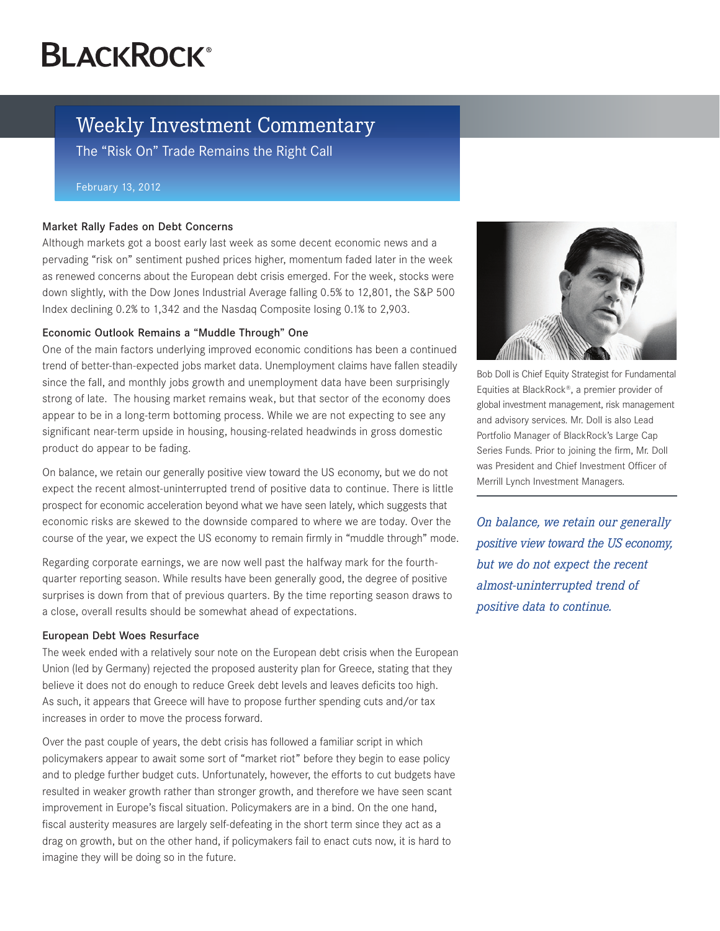# **BLACKROCK®**

# Weekly Investment Commentary

The "Risk On" Trade Remains the Right Call

#### February 13, 2012

### Market Rally Fades on Debt Concerns

Although markets got a boost early last week as some decent economic news and a pervading "risk on" sentiment pushed prices higher, momentum faded later in the week as renewed concerns about the European debt crisis emerged. For the week, stocks were down slightly, with the Dow Jones Industrial Average falling 0.5% to 12,801, the S&P 500 Index declining 0.2% to 1,342 and the Nasdaq Composite losing 0.1% to 2,903.

## Economic Outlook Remains a "Muddle Through" One

One of the main factors underlying improved economic conditions has been a continued trend of better-than-expected jobs market data. Unemployment claims have fallen steadily since the fall, and monthly jobs growth and unemployment data have been surprisingly strong of late. The housing market remains weak, but that sector of the economy does appear to be in a long-term bottoming process. While we are not expecting to see any significant near-term upside in housing, housing-related headwinds in gross domestic product do appear to be fading.

On balance, we retain our generally positive view toward the US economy, but we do not expect the recent almost-uninterrupted trend of positive data to continue. There is little prospect for economic acceleration beyond what we have seen lately, which suggests that economic risks are skewed to the downside compared to where we are today. Over the course of the year, we expect the US economy to remain firmly in "muddle through" mode.

Regarding corporate earnings, we are now well past the halfway mark for the fourthquarter reporting season. While results have been generally good, the degree of positive surprises is down from that of previous quarters. By the time reporting season draws to a close, overall results should be somewhat ahead of expectations.

### European Debt Woes Resurface

The week ended with a relatively sour note on the European debt crisis when the European Union (led by Germany) rejected the proposed austerity plan for Greece, stating that they believe it does not do enough to reduce Greek debt levels and leaves deficits too high. As such, it appears that Greece will have to propose further spending cuts and/or tax increases in order to move the process forward.

Over the past couple of years, the debt crisis has followed a familiar script in which policymakers appear to await some sort of "market riot" before they begin to ease policy and to pledge further budget cuts. Unfortunately, however, the efforts to cut budgets have resulted in weaker growth rather than stronger growth, and therefore we have seen scant improvement in Europe's fiscal situation. Policymakers are in a bind. On the one hand, fiscal austerity measures are largely self-defeating in the short term since they act as a drag on growth, but on the other hand, if policymakers fail to enact cuts now, it is hard to imagine they will be doing so in the future.



Bob Doll is Chief Equity Strategist for Fundamental Equities at BlackRock®, a premier provider of global investment management, risk management and advisory services. Mr. Doll is also Lead Portfolio Manager of BlackRock's Large Cap Series Funds. Prior to joining the firm, Mr. Doll was President and Chief Investment Officer of Merrill Lynch Investment Managers.

*On balance, we retain our generally positive view toward the US economy, but we do not expect the recent almost-uninterrupted trend of positive data to continue.*